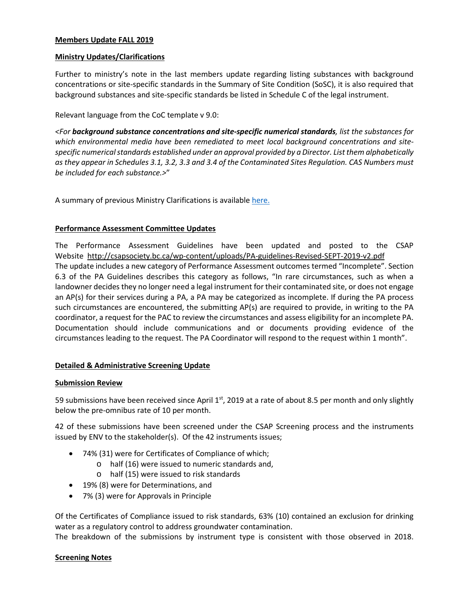### **Members Update FALL 2019**

### **Ministry Updates/Clarifications**

Further to ministry's note in the last members update regarding listing substances with background concentrations or site-specific standards in the Summary of Site Condition (SoSC), it is also required that background substances and site-specific standards be listed in Schedule C of the legal instrument.

Relevant language from the CoC template v 9.0:

*<For background substance concentrations and site-specific numerical standards, list the substances for which environmental media have been remediated to meet local background concentrations and sitespecific numerical standards established under an approval provided by a Director. List them alphabetically as they appear in Schedules 3.1, 3.2, 3.3 and 3.4 of the Contaminated Sites Regulation. CAS Numbers must be included for each substance.>*"

A summary of previous Ministry Clarifications is available [here.](https://csapsociety.bc.ca/wp-content/uploads/Ministry-Updates-Spring-2018-to-Summer-2012.pdf)

#### **Performance Assessment Committee Updates**

The Performance Assessment Guidelines have been updated and posted to the CSAP Website <http://csapsociety.bc.ca/wp-content/uploads/PA-guidelines-Revised-SEPT-2019-v2.pdf> The update includes a new category of Performance Assessment outcomes termed "Incomplete". Section 6.3 of the PA Guidelines describes this category as follows, "In rare circumstances, such as when a landowner decides they no longer need a legal instrument for their contaminated site, or does not engage an AP(s) for their services during a PA, a PA may be categorized as incomplete. If during the PA process such circumstances are encountered, the submitting AP(s) are required to provide, in writing to the PA coordinator, a request for the PAC to review the circumstances and assess eligibility for an incomplete PA. Documentation should include communications and or documents providing evidence of the circumstances leading to the request. The PA Coordinator will respond to the request within 1 month".

### **Detailed & Administrative Screening Update**

#### **Submission Review**

59 submissions have been received since April  $1<sup>st</sup>$ , 2019 at a rate of about 8.5 per month and only slightly below the pre-omnibus rate of 10 per month.

42 of these submissions have been screened under the CSAP Screening process and the instruments issued by ENV to the stakeholder(s). Of the 42 instruments issues;

- 74% (31) were for Certificates of Compliance of which;
	- o half (16) were issued to numeric standards and,
	- o half (15) were issued to risk standards
- 19% (8) were for Determinations, and
- 7% (3) were for Approvals in Principle

Of the Certificates of Compliance issued to risk standards, 63% (10) contained an exclusion for drinking water as a regulatory control to address groundwater contamination.

The breakdown of the submissions by instrument type is consistent with those observed in 2018.

### **Screening Notes**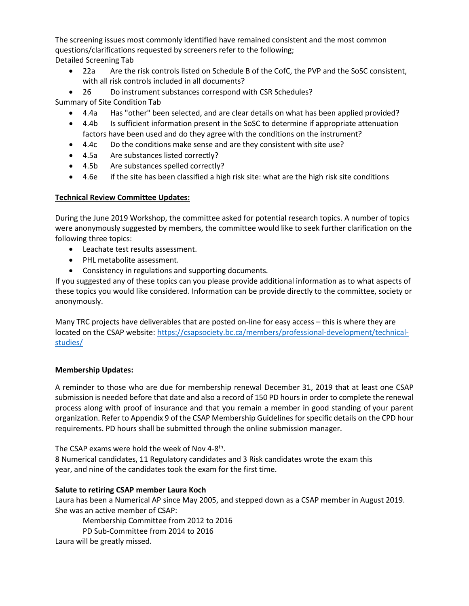The screening issues most commonly identified have remained consistent and the most common questions/clarifications requested by screeners refer to the following; Detailed Screening Tab

• 22a Are the risk controls listed on Schedule B of the CofC, the PVP and the SoSC consistent, with all risk controls included in all documents?

• 26 Do instrument substances correspond with CSR Schedules? Summary of Site Condition Tab

- 4.4a Has "other" been selected, and are clear details on what has been applied provided?
- 4.4b Is sufficient information present in the SoSC to determine if appropriate attenuation factors have been used and do they agree with the conditions on the instrument?
- 4.4c Do the conditions make sense and are they consistent with site use?
- 4.5a Are substances listed correctly?
- 4.5b Are substances spelled correctly?
- 4.6e if the site has been classified a high risk site: what are the high risk site conditions

# **Technical Review Committee Updates:**

During the June 2019 Workshop, the committee asked for potential research topics. A number of topics were anonymously suggested by members, the committee would like to seek further clarification on the following three topics:

- Leachate test results assessment.
- PHL metabolite assessment.
- Consistency in regulations and supporting documents.

If you suggested any of these topics can you please provide additional information as to what aspects of these topics you would like considered. Information can be provide directly to the committee, society or anonymously.

Many TRC projects have deliverables that are posted on-line for easy access – this is where they are located on the CSAP website: [https://csapsociety.bc.ca/members/professional-development/technical](https://csapsociety.bc.ca/members/professional-development/technical-studies/)[studies/](https://csapsociety.bc.ca/members/professional-development/technical-studies/)

# **Membership Updates:**

A reminder to those who are due for membership renewal December 31, 2019 that at least one CSAP submission is needed before that date and also a record of 150 PD hours in order to complete the renewal process along with proof of insurance and that you remain a member in good standing of your parent organization. Refer to Appendix 9 of the CSAP Membership Guidelines for specific details on the CPD hour requirements. PD hours shall be submitted through the online submission manager.

The CSAP exams were hold the week of Nov 4-8<sup>th</sup>.

8 Numerical candidates, 11 Regulatory candidates and 3 Risk candidates wrote the exam this year, and nine of the candidates took the exam for the first time.

# **Salute to retiring CSAP member Laura Koch**

Laura has been a Numerical AP since May 2005, and stepped down as a CSAP member in August 2019. She was an active member of CSAP:

Membership Committee from 2012 to 2016 PD Sub-Committee from 2014 to 2016 Laura will be greatly missed.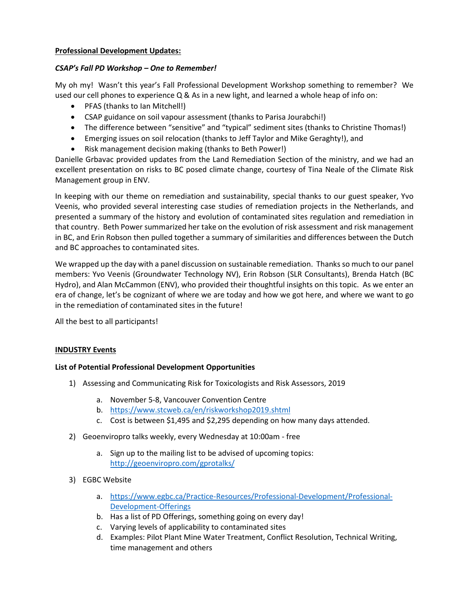### **Professional Development Updates:**

### *CSAP's Fall PD Workshop – One to Remember!*

My oh my! Wasn't this year's Fall Professional Development Workshop something to remember? We used our cell phones to experience Q & As in a new light, and learned a whole heap of info on:

- PFAS (thanks to Ian Mitchell!)
- CSAP guidance on soil vapour assessment (thanks to Parisa Jourabchi!)
- The difference between "sensitive" and "typical" sediment sites (thanks to Christine Thomas!)
- Emerging issues on soil relocation (thanks to Jeff Taylor and Mike Geraghty!), and
- Risk management decision making (thanks to Beth Power!)

Danielle Grbavac provided updates from the Land Remediation Section of the ministry, and we had an excellent presentation on risks to BC posed climate change, courtesy of Tina Neale of the Climate Risk Management group in ENV.

In keeping with our theme on remediation and sustainability, special thanks to our guest speaker, Yvo Veenis, who provided several interesting case studies of remediation projects in the Netherlands, and presented a summary of the history and evolution of contaminated sites regulation and remediation in that country. Beth Power summarized her take on the evolution of risk assessment and risk management in BC, and Erin Robson then pulled together a summary of similarities and differences between the Dutch and BC approaches to contaminated sites.

We wrapped up the day with a panel discussion on sustainable remediation. Thanks so much to our panel members: Yvo Veenis (Groundwater Technology NV), Erin Robson (SLR Consultants), Brenda Hatch (BC Hydro), and Alan McCammon (ENV), who provided their thoughtful insights on this topic. As we enter an era of change, let's be cognizant of where we are today and how we got here, and where we want to go in the remediation of contaminated sites in the future!

All the best to all participants!

### **INDUSTRY Events**

### **List of Potential Professional Development Opportunities**

- 1) Assessing and Communicating Risk for Toxicologists and Risk Assessors, 2019
	- a. November 5-8, Vancouver Convention Centre
	- b. <https://www.stcweb.ca/en/riskworkshop2019.shtml>
	- c. Cost is between \$1,495 and \$2,295 depending on how many days attended.
- 2) Geoenviropro talks weekly, every Wednesday at 10:00am free
	- a. Sign up to the mailing list to be advised of upcoming topics: <http://geoenviropro.com/gprotalks/>
- 3) EGBC Website
	- a. [https://www.egbc.ca/Practice-Resources/Professional-Development/Professional-](https://www.egbc.ca/Practice-Resources/Professional-Development/Professional-Development-Offerings)[Development-Offerings](https://www.egbc.ca/Practice-Resources/Professional-Development/Professional-Development-Offerings)
	- b. Has a list of PD Offerings, something going on every day!
	- c. Varying levels of applicability to contaminated sites
	- d. Examples: Pilot Plant Mine Water Treatment, Conflict Resolution, Technical Writing, time management and others